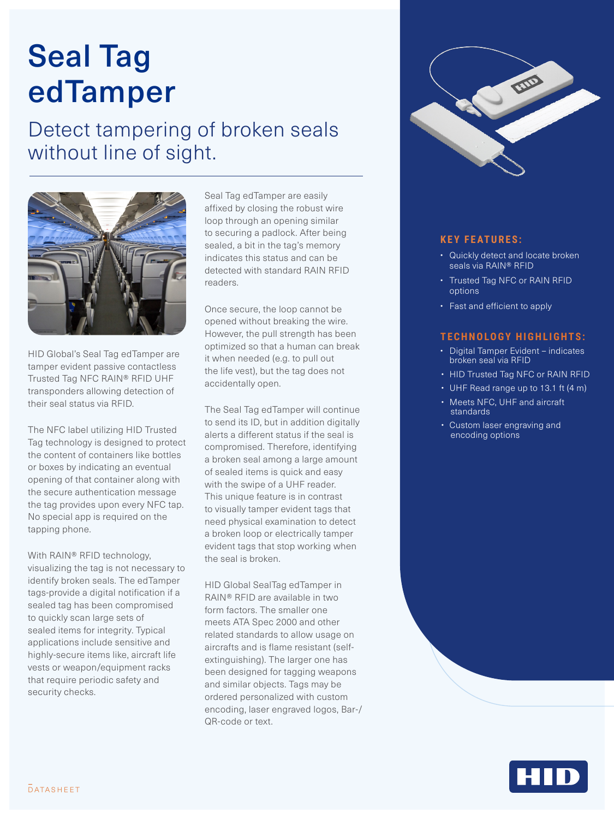# Seal Tag edTamper

### Detect tampering of broken seals without line of sight.



HID Global's Seal Tag edTamper are tamper evident passive contactless Trusted Tag NFC RAIN® RFID UHF transponders allowing detection of their seal status via RFID.

The NFC label utilizing HID Trusted Tag technology is designed to protect the content of containers like bottles or boxes by indicating an eventual opening of that container along with the secure authentication message the tag provides upon every NFC tap. No special app is required on the tapping phone.

With RAIN® RFID technology, visualizing the tag is not necessary to identify broken seals. The edTamper tags-provide a digital notification if a sealed tag has been compromised to quickly scan large sets of sealed items for integrity. Typical applications include sensitive and highly-secure items like, aircraft life vests or weapon/equipment racks that require periodic safety and security checks.

Seal Tag edTamper are easily affixed by closing the robust wire loop through an opening similar to securing a padlock. After being sealed, a bit in the tag's memory indicates this status and can be detected with standard RAIN RFID readers.

Once secure, the loop cannot be opened without breaking the wire. However, the pull strength has been optimized so that a human can break it when needed (e.g. to pull out the life vest), but the tag does not accidentally open.

The Seal Tag edTamper will continue to send its ID, but in addition digitally alerts a different status if the seal is compromised. Therefore, identifying a broken seal among a large amount of sealed items is quick and easy with the swipe of a UHF reader. This unique feature is in contrast to visually tamper evident tags that need physical examination to detect a broken loop or electrically tamper evident tags that stop working when the seal is broken.

HID Global SealTag edTamper in RAIN® RFID are available in two form factors. The smaller one meets ATA Spec 2000 and other related standards to allow usage on aircrafts and is flame resistant (selfextinguishing). The larger one has been designed for tagging weapons and similar objects. Tags may be ordered personalized with custom encoding, laser engraved logos, Bar-/ QR-code or text.



### **KEY FEATURES:**

- Quickly detect and locate broken seals via RAIN® RFID
- Trusted Tag NFC or RAIN RFID options
- Fast and efficient to apply

#### **TECHNOLOGY HIGHLIGHTS:**

- Digital Tamper Evident indicates broken seal via RFID
- HID Trusted Tag NFC or RAIN RFID
- UHF Read range up to 13.1 ft (4 m)
- Meets NFC, UHF and aircraft standards
- Custom laser engraving and encoding options